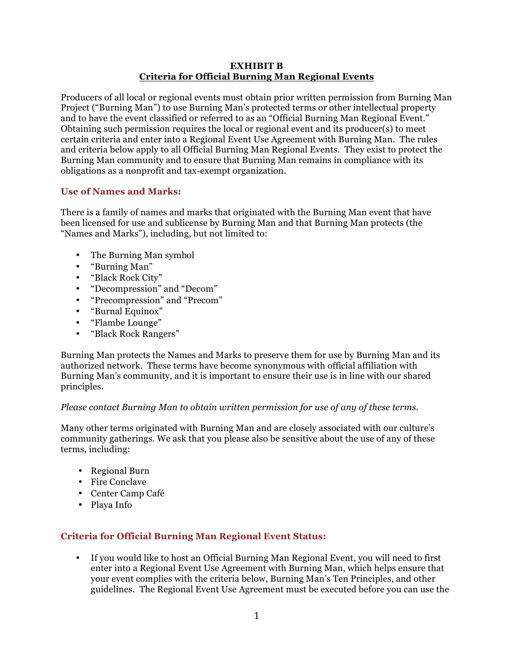### **EXHIBIT B Criteria for Official Burning Man Regional Events**

Producers of all local or regional events must obtain prior written permission from Burning Man Project ("Burning Man") to use Burning Man's protected terms or other intellectual property and to have the event classified or referred to as an "Official Burning Man Regional Event." Obtaining such permission requires the local or regional event and its producer(s) to meet certain criteria and enter into a Regional Event Use Agreement with Burning Man. The rules and criteria below apply to all Official Burning Man Regional Events. They exist to protect the Burning Man community and to ensure that Burning Man remains in compliance with its obligations as a nonprofit and tax-exempt organization.

## **Use of Names and Marks:**

There is a family of names and marks that originated with the Burning Man event that have been licensed for use and sublicense by Burning Man and that Burning Man protects (the "Names and Marks"), including, but not limited to:

- The Burning Man symbol
- "Burning Man"
- "Black Rock City"
- "Decompression" and "Decom"
- "Precompression" and "Precom"
- "Burnal Equinox"
- "Flambe Lounge"
- "Black Rock Rangers"

Burning Man protects the Names and Marks to preserve them for use by Burning Man and its authorized network. These terms have become synonymous with official affiliation with Burning Man's community, and it is important to ensure their use is in line with our shared principles.

## *Please contact Burning Man to obtain written permission for use of any of these terms.*

Many other terms originated with Burning Man and are closely associated with our culture's community gatherings. We ask that you please also be sensitive about the use of any of these terms, including:

- Regional Burn
- Fire Conclave
- Center Camp Café
- Playa Info

## **Criteria for Official Burning Man Regional Event Status:**

• If you would like to host an Official Burning Man Regional Event, you will need to first enter into a Regional Event Use Agreement with Burning Man, which helps ensure that your event complies with the criteria below, Burning Man's Ten Principles, and other guidelines. The Regional Event Use Agreement must be executed before you can use the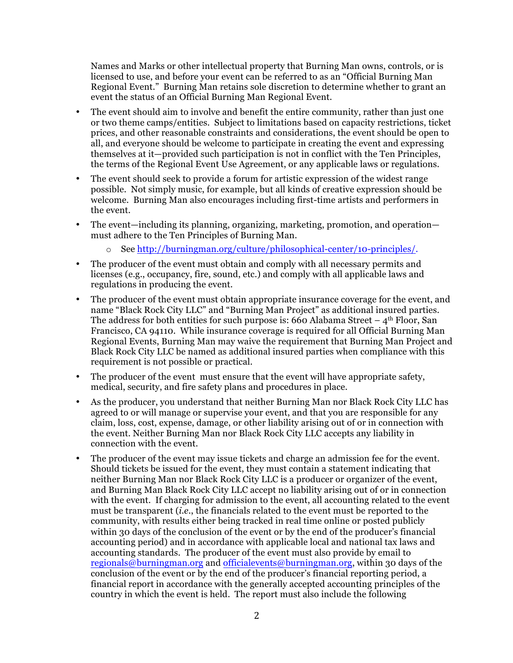Names and Marks or other intellectual property that Burning Man owns, controls, or is licensed to use, and before your event can be referred to as an "Official Burning Man Regional Event." Burning Man retains sole discretion to determine whether to grant an event the status of an Official Burning Man Regional Event.

- The event should aim to involve and benefit the entire community, rather than just one or two theme camps/entities. Subject to limitations based on capacity restrictions, ticket prices, and other reasonable constraints and considerations, the event should be open to all, and everyone should be welcome to participate in creating the event and expressing themselves at it—provided such participation is not in conflict with the Ten Principles, the terms of the Regional Event Use Agreement, or any applicable laws or regulations.
- The event should seek to provide a forum for artistic expression of the widest range possible. Not simply music, for example, but all kinds of creative expression should be welcome. Burning Man also encourages including first-time artists and performers in the event.
- The event—including its planning, organizing, marketing, promotion, and operation must adhere to the Ten Principles of Burning Man.
	- o See http://burningman.org/culture/philosophical-center/10-principles/.
- The producer of the event must obtain and comply with all necessary permits and licenses (e.g., occupancy, fire, sound, etc.) and comply with all applicable laws and regulations in producing the event.
- The producer of the event must obtain appropriate insurance coverage for the event, and name "Black Rock City LLC" and "Burning Man Project" as additional insured parties. The address for both entities for such purpose is: 660 Alabama Street  $-4<sup>th</sup>$  Floor, San Francisco, CA 94110. While insurance coverage is required for all Official Burning Man Regional Events, Burning Man may waive the requirement that Burning Man Project and Black Rock City LLC be named as additional insured parties when compliance with this requirement is not possible or practical.
- The producer of the event must ensure that the event will have appropriate safety, medical, security, and fire safety plans and procedures in place.
- As the producer, you understand that neither Burning Man nor Black Rock City LLC has agreed to or will manage or supervise your event, and that you are responsible for any claim, loss, cost, expense, damage, or other liability arising out of or in connection with the event. Neither Burning Man nor Black Rock City LLC accepts any liability in connection with the event.
- The producer of the event may issue tickets and charge an admission fee for the event. Should tickets be issued for the event, they must contain a statement indicating that neither Burning Man nor Black Rock City LLC is a producer or organizer of the event, and Burning Man Black Rock City LLC accept no liability arising out of or in connection with the event. If charging for admission to the event, all accounting related to the event must be transparent (*i.e.*, the financials related to the event must be reported to the community, with results either being tracked in real time online or posted publicly within 30 days of the conclusion of the event or by the end of the producer's financial accounting period) and in accordance with applicable local and national tax laws and accounting standards. The producer of the event must also provide by email to regionals@burningman.org and officialevents@burningman.org, within 30 days of the conclusion of the event or by the end of the producer's financial reporting period, a financial report in accordance with the generally accepted accounting principles of the country in which the event is held. The report must also include the following